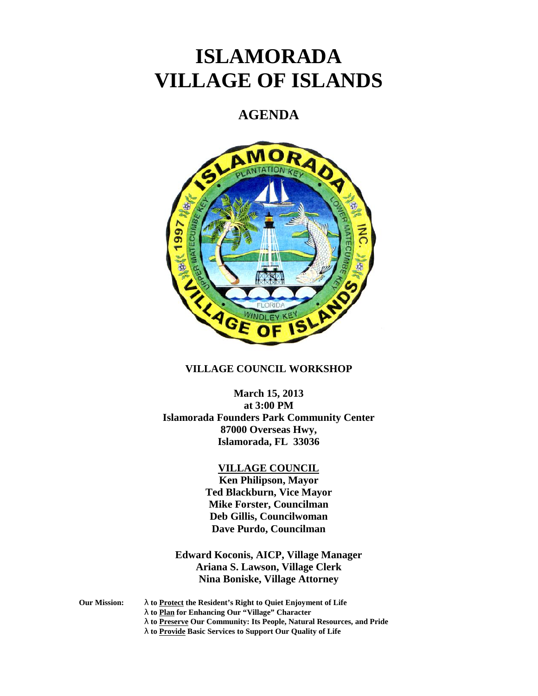# **ISLAMORADA VILLAGE OF ISLANDS**

# **AGENDA**



### **VILLAGE COUNCIL WORKSHOP**

**March 15, 2013 at 3:00 PM Islamorada Founders Park Community Center 87000 Overseas Hwy, Islamorada, FL 33036**

#### **VILLAGE COUNCIL**

**Ken Philipson, Mayor Ted Blackburn, Vice Mayor Mike Forster, Councilman Deb Gillis, Councilwoman Dave Purdo, Councilman**

## **Edward Koconis, AICP, Village Manager Ariana S. Lawson, Village Clerk Nina Boniske, Village Attorney**

- **Our Mission: to Protect the Resident's Right to Quiet Enjoyment of Life**
	- **to Plan for Enhancing Our "Village" Character**
	- **to Preserve Our Community: Its People, Natural Resources, and Pride**
	- **to Provide Basic Services to Support Our Quality of Life**